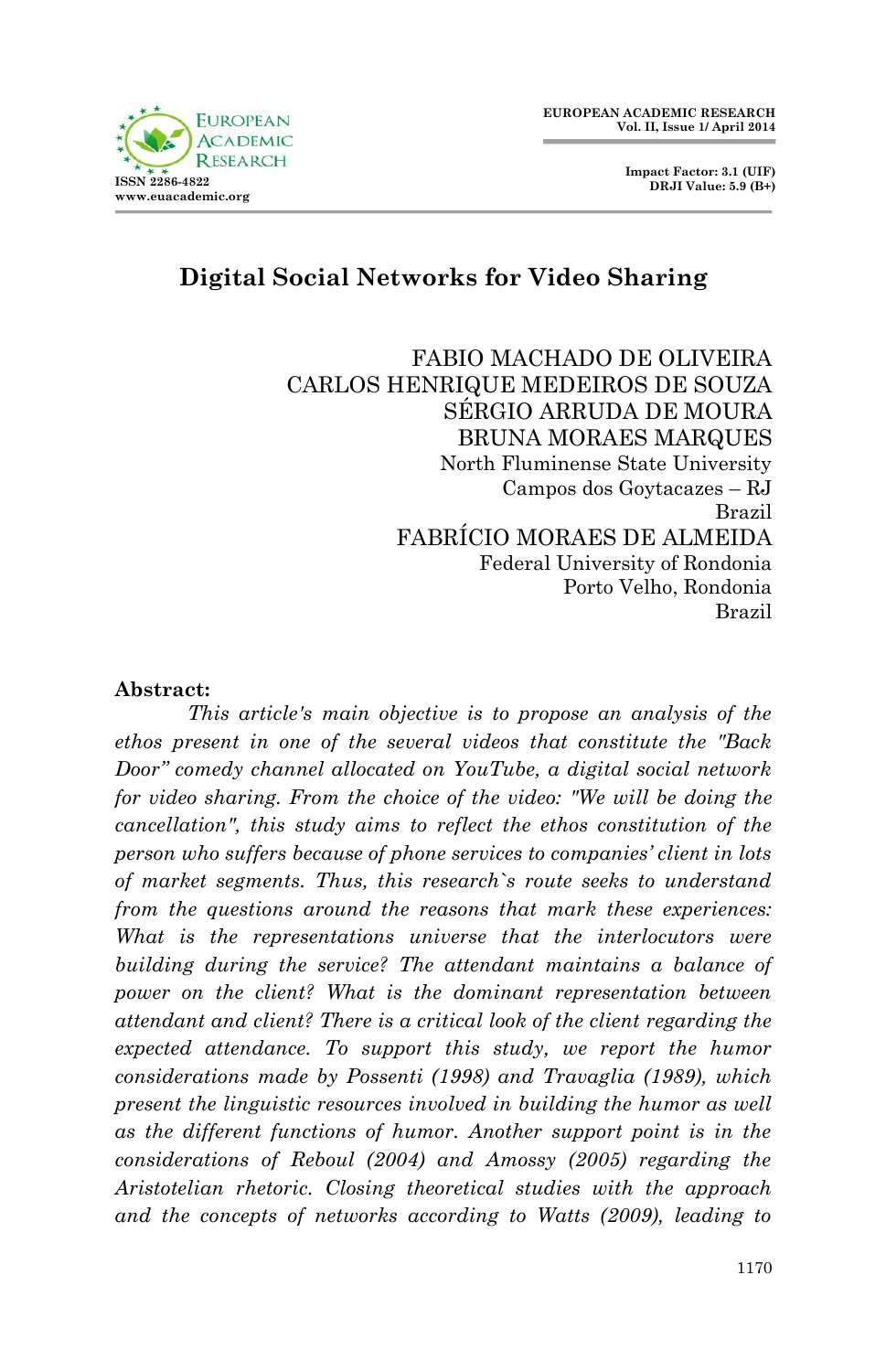



# **Digital Social Networks for Video Sharing**

FABIO MACHADO DE OLIVEIRA CARLOS HENRIQUE MEDEIROS DE SOUZA SÉRGIO ARRUDA DE MOURA BRUNA MORAES MARQUES North Fluminense State University Campos dos Goytacazes – RJ Brazil FABRÍCIO MORAES DE ALMEIDA Federal University of Rondonia Porto Velho, Rondonia Brazil

#### **Abstract:**

*This article's main objective is to propose an analysis of the ethos present in one of the several videos that constitute the "Back Door" comedy channel allocated on YouTube, a digital social network for video sharing. From the choice of the video: "We will be doing the cancellation", this study aims to reflect the ethos constitution of the person who suffers because of phone services to companies' client in lots of market segments. Thus, this research`s route seeks to understand from the questions around the reasons that mark these experiences: What is the representations universe that the interlocutors were building during the service? The attendant maintains a balance of power on the client? What is the dominant representation between attendant and client? There is a critical look of the client regarding the expected attendance. To support this study, we report the humor considerations made by Possenti (1998) and Travaglia (1989), which present the linguistic resources involved in building the humor as well as the different functions of humor. Another support point is in the considerations of Reboul (2004) and Amossy (2005) regarding the Aristotelian rhetoric. Closing theoretical studies with the approach*  and the concepts of networks according to Watts (2009), leading to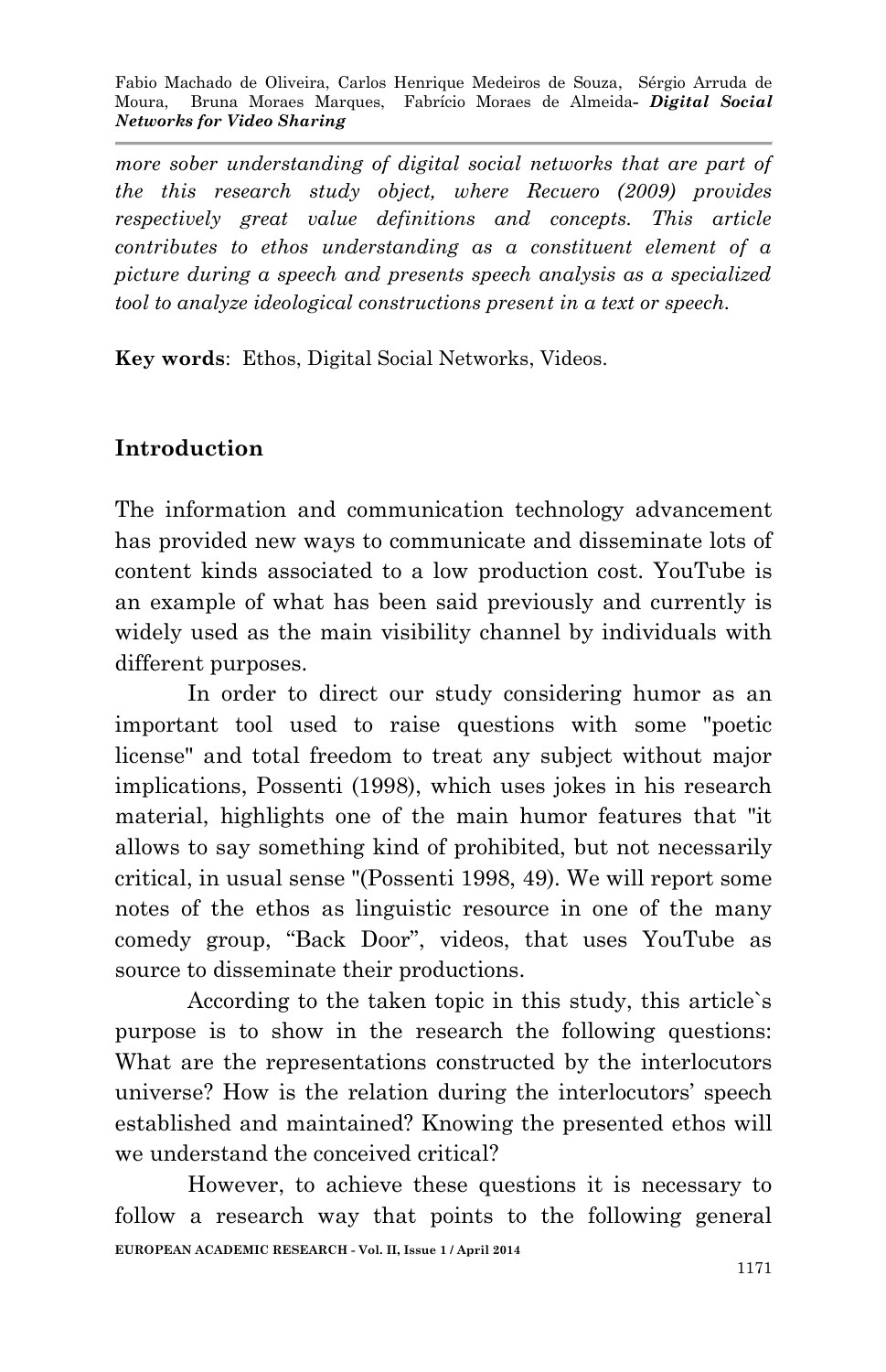*more sober understanding of digital social networks that are part of the this research study object, where Recuero (2009) provides respectively great value definitions and concepts. This article contributes to ethos understanding as a constituent element of a picture during a speech and presents speech analysis as a specialized tool to analyze ideological constructions present in a text or speech.*

**Key words**: Ethos, Digital Social Networks, Videos.

## **Introduction**

The information and communication technology advancement has provided new ways to communicate and disseminate lots of content kinds associated to a low production cost. YouTube is an example of what has been said previously and currently is widely used as the main visibility channel by individuals with different purposes.

In order to direct our study considering humor as an important tool used to raise questions with some "poetic license" and total freedom to treat any subject without major implications, Possenti (1998), which uses jokes in his research material, highlights one of the main humor features that "it allows to say something kind of prohibited, but not necessarily critical, in usual sense "(Possenti 1998, 49). We will report some notes of the ethos as linguistic resource in one of the many comedy group, "Back Door", videos, that uses YouTube as source to disseminate their productions.

According to the taken topic in this study, this article`s purpose is to show in the research the following questions: What are the representations constructed by the interlocutors universe? How is the relation during the interlocutors' speech established and maintained? Knowing the presented ethos will we understand the conceived critical?

**EUROPEAN ACADEMIC RESEARCH - Vol. II, Issue 1 / April 2014** However, to achieve these questions it is necessary to follow a research way that points to the following general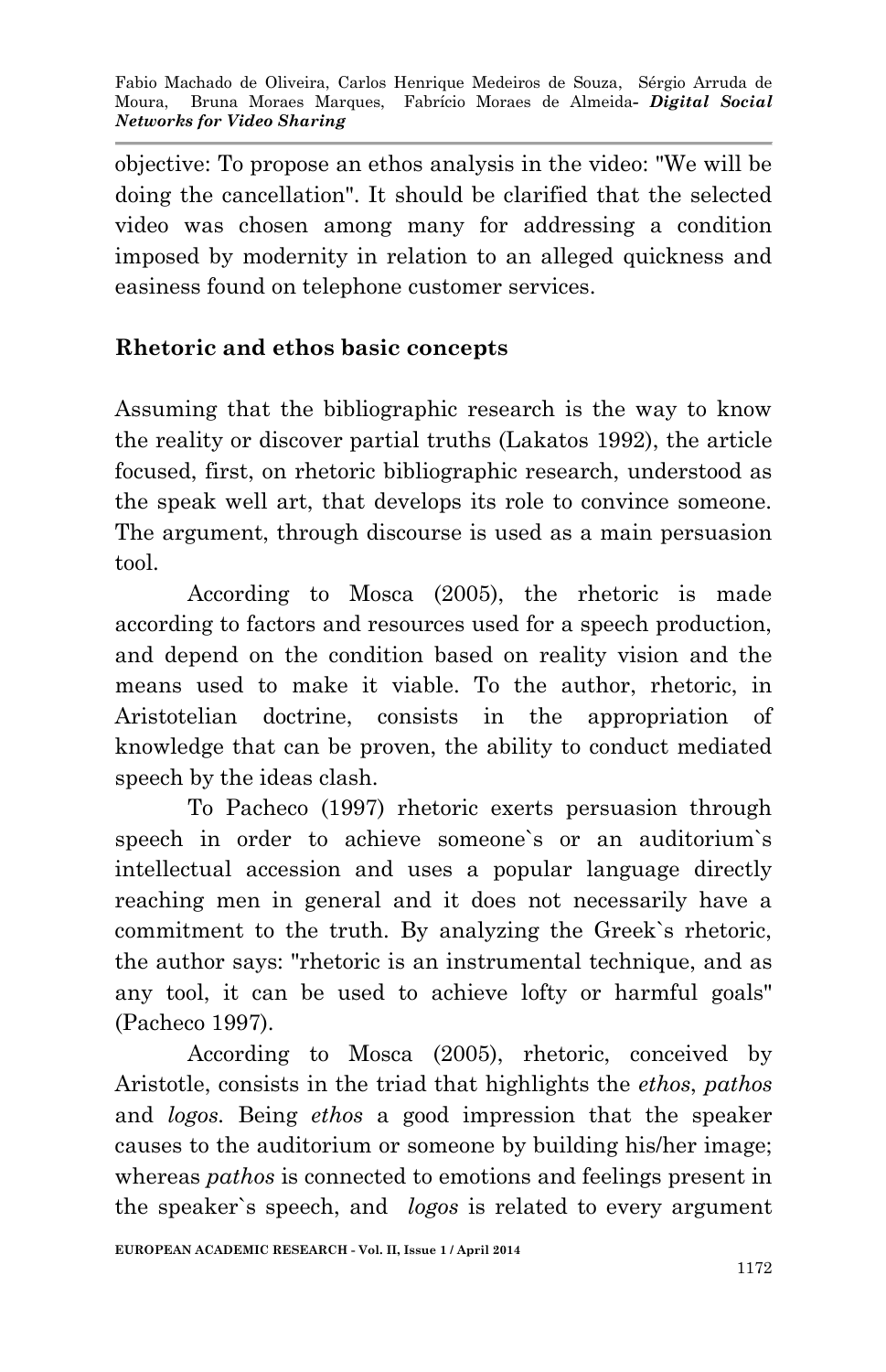objective: To propose an ethos analysis in the video: "We will be doing the cancellation". It should be clarified that the selected video was chosen among many for addressing a condition imposed by modernity in relation to an alleged quickness and easiness found on telephone customer services.

### **Rhetoric and ethos basic concepts**

Assuming that the bibliographic research is the way to know the reality or discover partial truths (Lakatos 1992), the article focused, first, on rhetoric bibliographic research, understood as the speak well art, that develops its role to convince someone. The argument, through discourse is used as a main persuasion tool.

According to Mosca (2005), the rhetoric is made according to factors and resources used for a speech production, and depend on the condition based on reality vision and the means used to make it viable. To the author, rhetoric, in Aristotelian doctrine, consists in the appropriation of knowledge that can be proven, the ability to conduct mediated speech by the ideas clash.

To Pacheco (1997) rhetoric exerts persuasion through speech in order to achieve someone`s or an auditorium`s intellectual accession and uses a popular language directly reaching men in general and it does not necessarily have a commitment to the truth. By analyzing the Greek`s rhetoric, the author says: "rhetoric is an instrumental technique, and as any tool, it can be used to achieve lofty or harmful goals" (Pacheco 1997).

According to Mosca (2005), rhetoric, conceived by Aristotle, consists in the triad that highlights the *ethos*, *pathos* and *logos.* Being *ethos* a good impression that the speaker causes to the auditorium or someone by building his/her image; whereas *pathos* is connected to emotions and feelings present in the speaker`s speech, and *logos* is related to every argument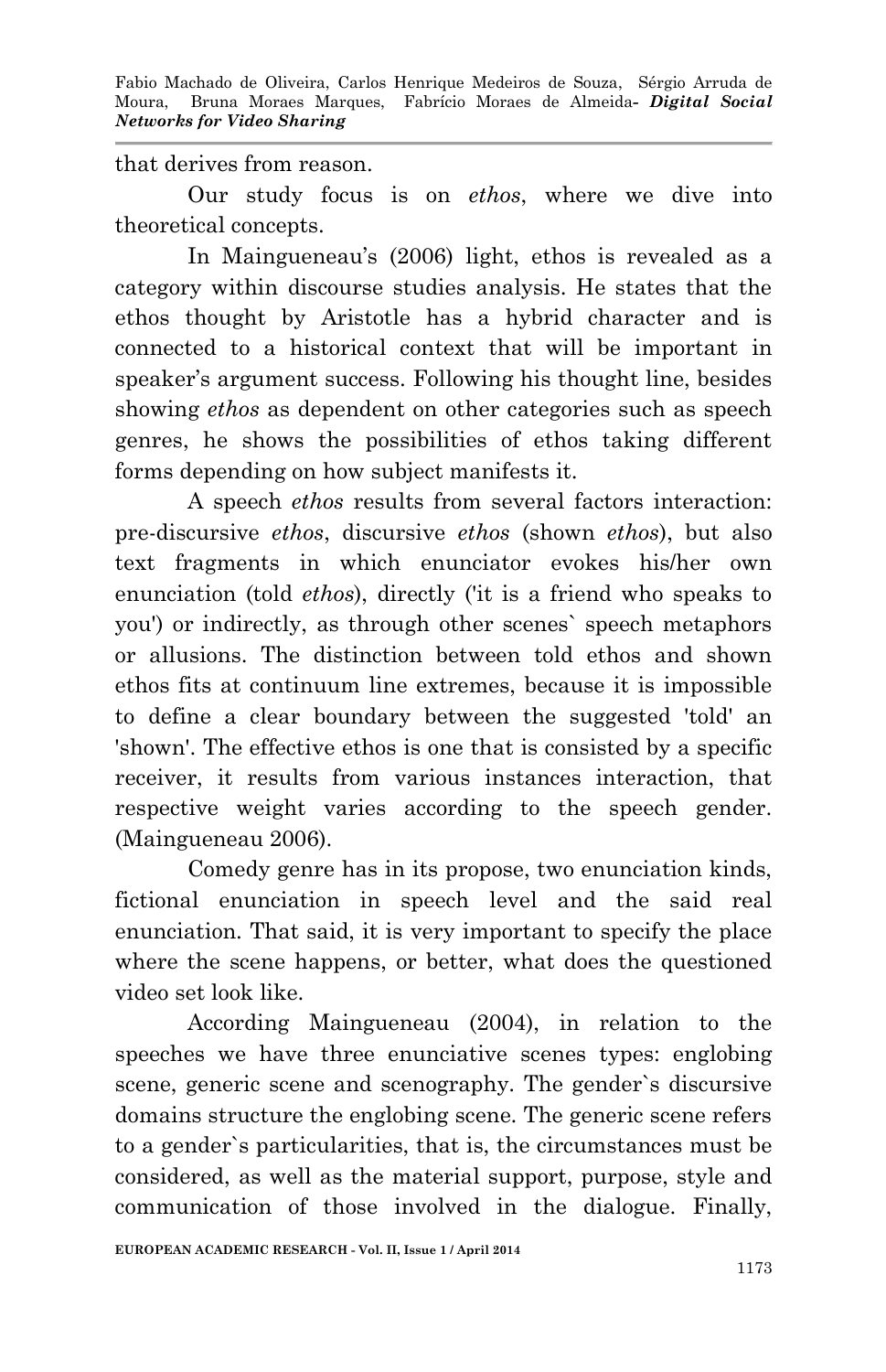#### that derives from reason.

Our study focus is on *ethos*, where we dive into theoretical concepts.

In Maingueneau's (2006) light, ethos is revealed as a category within discourse studies analysis. He states that the ethos thought by Aristotle has a hybrid character and is connected to a historical context that will be important in speaker's argument success. Following his thought line, besides showing *ethos* as dependent on other categories such as speech genres, he shows the possibilities of ethos taking different forms depending on how subject manifests it.

A speech *ethos* results from several factors interaction: pre-discursive *ethos*, discursive *ethos* (shown *ethos*), but also text fragments in which enunciator evokes his/her own enunciation (told *ethos*), directly ('it is a friend who speaks to you') or indirectly, as through other scenes` speech metaphors or allusions. The distinction between told ethos and shown ethos fits at continuum line extremes, because it is impossible to define a clear boundary between the suggested 'told' an 'shown'. The effective ethos is one that is consisted by a specific receiver, it results from various instances interaction, that respective weight varies according to the speech gender. (Maingueneau 2006).

Comedy genre has in its propose, two enunciation kinds, fictional enunciation in speech level and the said real enunciation. That said, it is very important to specify the place where the scene happens, or better, what does the questioned video set look like.

According Maingueneau (2004), in relation to the speeches we have three enunciative scenes types: englobing scene, generic scene and scenography. The gender`s discursive domains structure the englobing scene. The generic scene refers to a gender`s particularities, that is, the circumstances must be considered, as well as the material support, purpose, style and communication of those involved in the dialogue. Finally,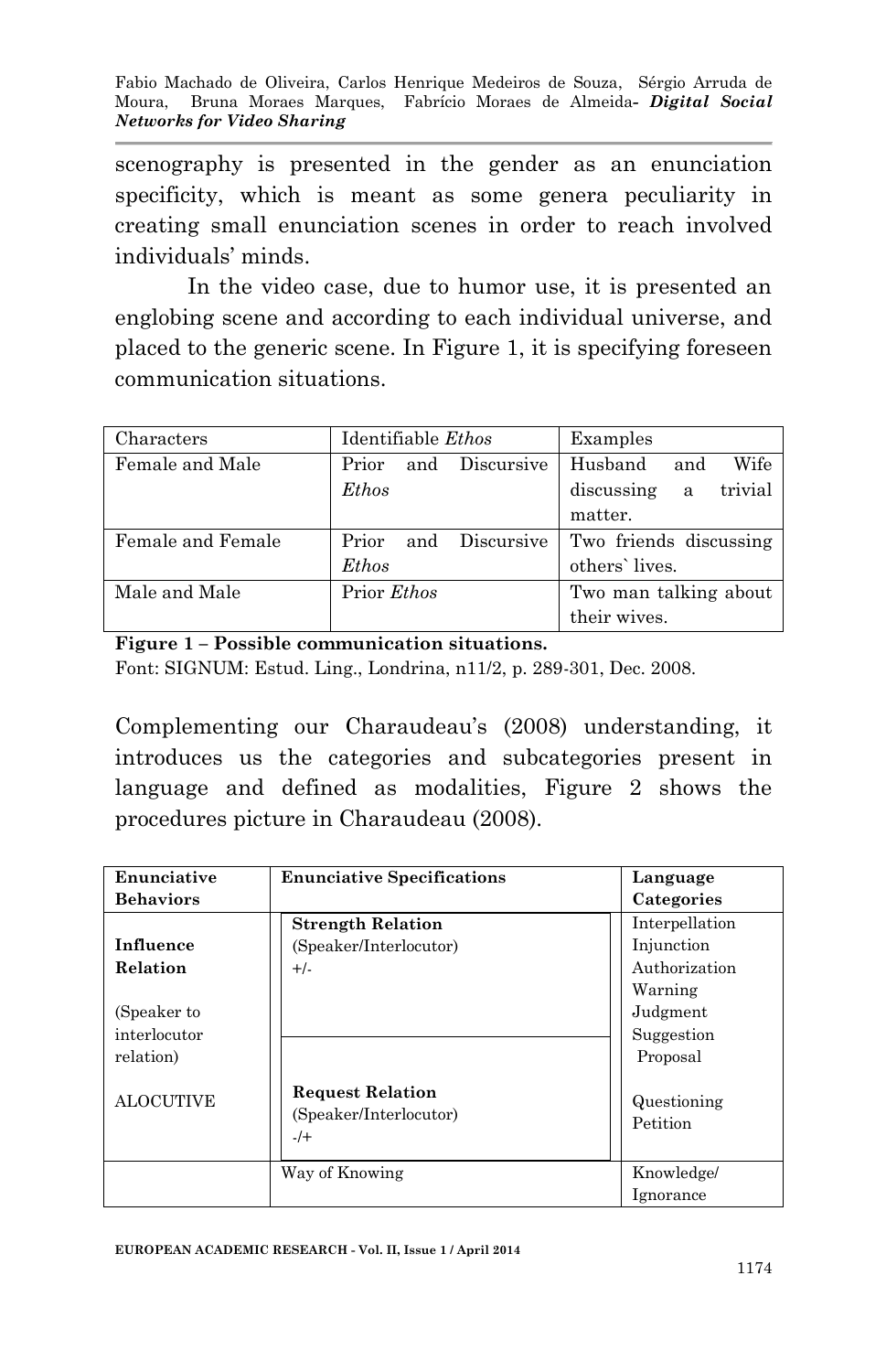scenography is presented in the gender as an enunciation specificity, which is meant as some genera peculiarity in creating small enunciation scenes in order to reach involved individuals' minds.

In the video case, due to humor use, it is presented an englobing scene and according to each individual universe, and placed to the generic scene. In Figure 1, it is specifying foreseen communication situations.

| Characters        | Identifiable <i>Ethos</i>  | Examples                   |  |
|-------------------|----------------------------|----------------------------|--|
| Female and Male   | Discursive<br>Prior<br>and | Husband<br>Wife<br>and     |  |
|                   | Ethos                      | trivial<br>discussing<br>a |  |
|                   |                            | matter.                    |  |
| Female and Female | Discursive<br>Prior<br>and | Two friends discussing     |  |
|                   | Ethos                      | others' lives.             |  |
| Male and Male     | Prior <i>Ethos</i>         | Two man talking about      |  |
|                   |                            | their wives.               |  |

**Figure 1 – Possible communication situations.** 

Font: SIGNUM: Estud. Ling., Londrina, n11/2, p. 289-301, Dec. 2008.

Complementing our Charaudeau's (2008) understanding, it introduces us the categories and subcategories present in language and defined as modalities, Figure 2 shows the procedures picture in Charaudeau (2008).

| Enunciative      | <b>Enunciative Specifications</b>                           |            | Language       |  |
|------------------|-------------------------------------------------------------|------------|----------------|--|
| <b>Behaviors</b> |                                                             |            | Categories     |  |
|                  | <b>Strength Relation</b>                                    |            | Interpellation |  |
| Influence        | (Speaker/Interlocutor)                                      | Injunction |                |  |
| Relation         | $+/-$                                                       |            | Authorization  |  |
|                  |                                                             | Warning    |                |  |
| (Speaker to      |                                                             | Judgment   |                |  |
| interlocutor     |                                                             |            | Suggestion     |  |
| relation)        |                                                             | Proposal   |                |  |
| <b>ALOCUTIVE</b> | <b>Request Relation</b><br>(Speaker/Interlocutor)<br>$-$ /+ | Petition   | Questioning    |  |
| Way of Knowing   |                                                             |            | Knowledge/     |  |
|                  |                                                             | Ignorance  |                |  |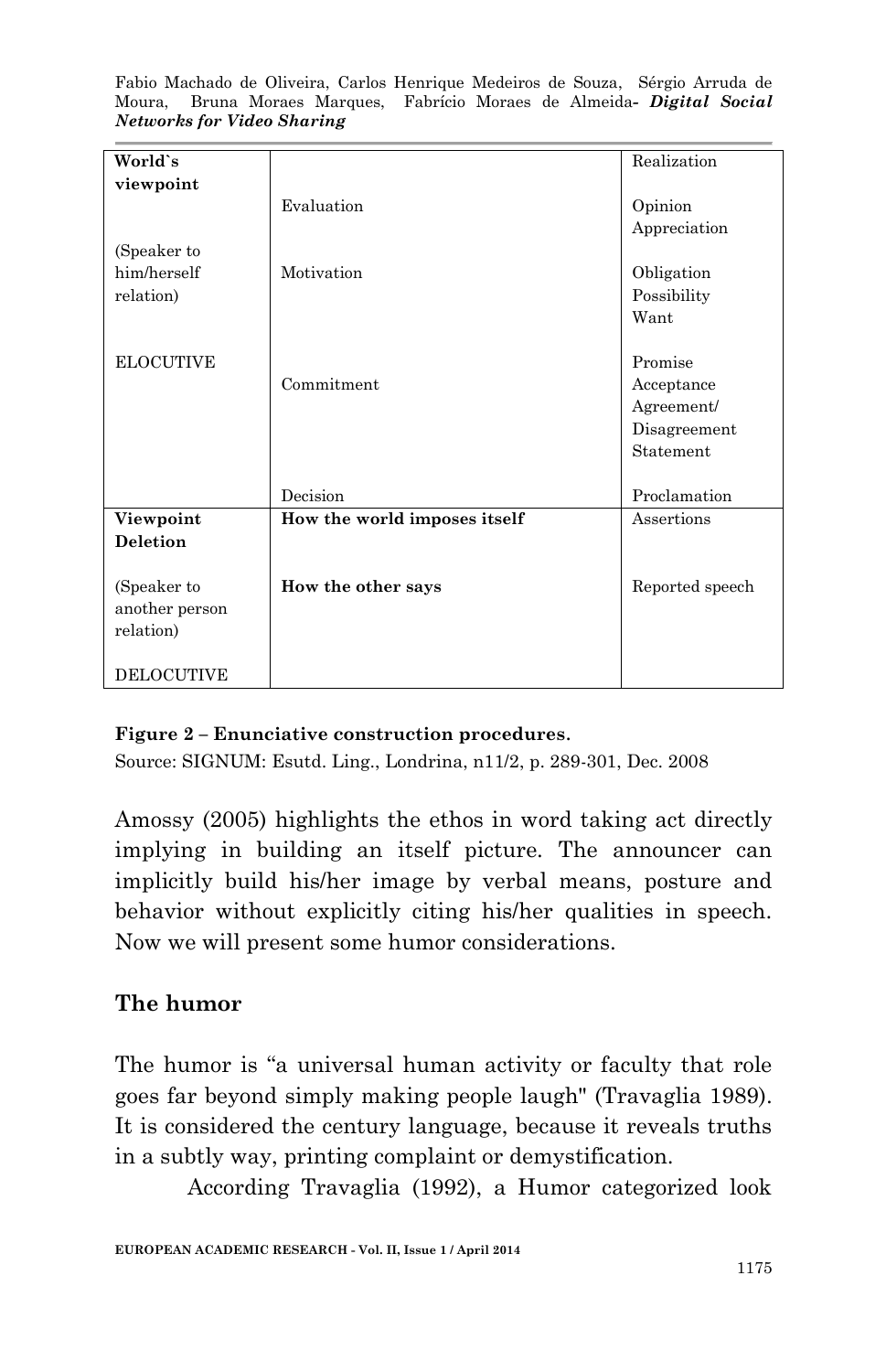| World's                                    |                              | Realization                                                      |
|--------------------------------------------|------------------------------|------------------------------------------------------------------|
| viewpoint                                  |                              |                                                                  |
|                                            | Evaluation                   | Opinion<br>Appreciation                                          |
| (Speaker to<br>him/herself<br>relation)    | Motivation                   | Obligation<br>Possibility<br>Want                                |
| <b>ELOCUTIVE</b>                           | Commitment                   | Promise<br>Acceptance<br>Agreement/<br>Disagreement<br>Statement |
|                                            | Decision                     | Proclamation                                                     |
| Viewpoint<br><b>Deletion</b>               | How the world imposes itself | Assertions                                                       |
| (Speaker to<br>another person<br>relation) | How the other says           | Reported speech                                                  |
| <b>DELOCUTIVE</b>                          |                              |                                                                  |

#### **Figure 2 – Enunciative construction procedures**.

Source: SIGNUM: Esutd. Ling., Londrina, n11/2, p. 289-301, Dec. 2008

Amossy (2005) highlights the ethos in word taking act directly implying in building an itself picture. The announcer can implicitly build his/her image by verbal means, posture and behavior without explicitly citing his/her qualities in speech. Now we will present some humor considerations.

### **The humor**

The humor is "a universal human activity or faculty that role goes far beyond simply making people laugh" (Travaglia 1989). It is considered the century language, because it reveals truths in a subtly way, printing complaint or demystification.

According Travaglia (1992), a Humor categorized look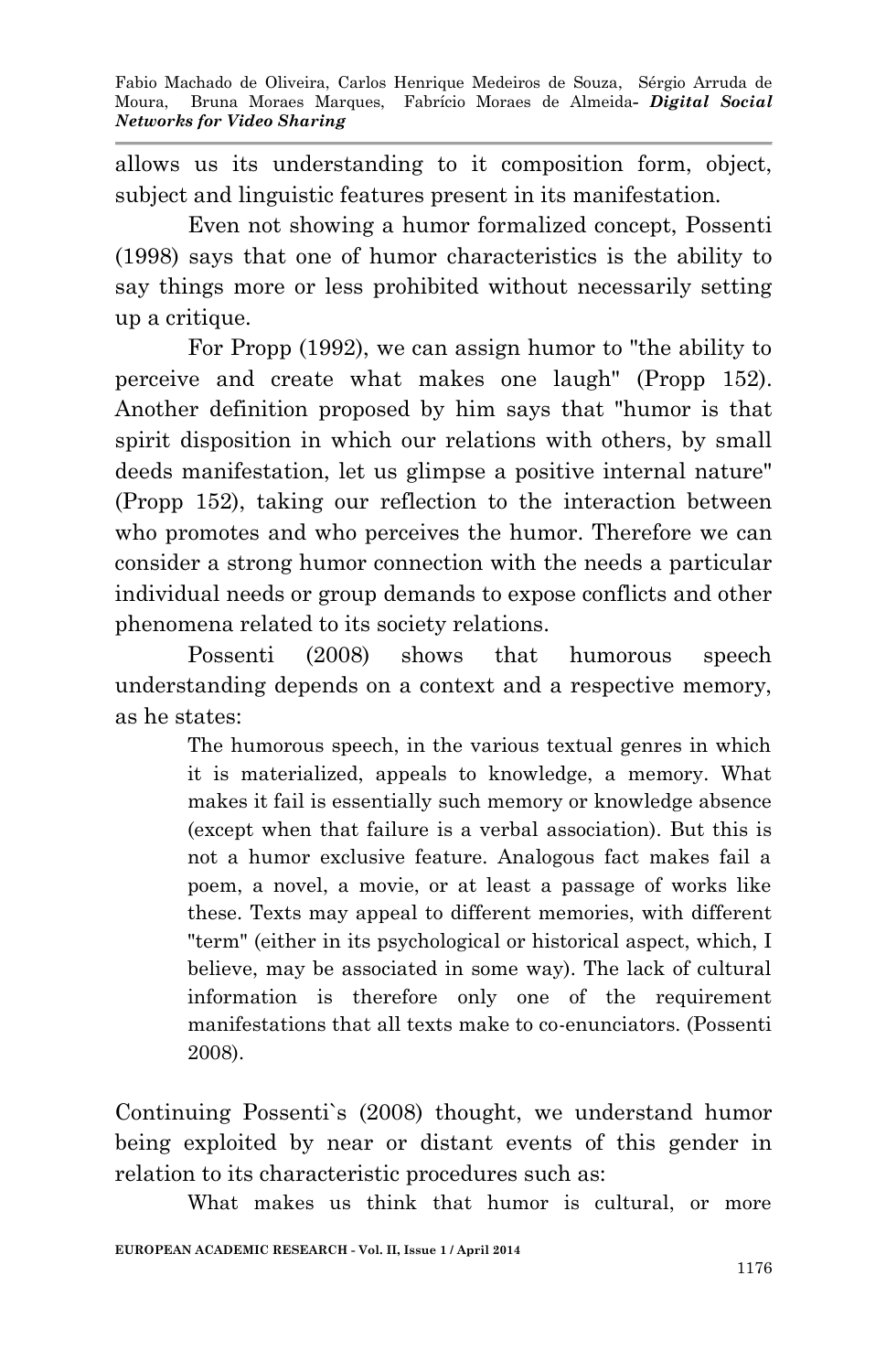allows us its understanding to it composition form, object, subject and linguistic features present in its manifestation.

Even not showing a humor formalized concept, Possenti (1998) says that one of humor characteristics is the ability to say things more or less prohibited without necessarily setting up a critique.

For Propp (1992), we can assign humor to "the ability to perceive and create what makes one laugh" (Propp 152). Another definition proposed by him says that "humor is that spirit disposition in which our relations with others, by small deeds manifestation, let us glimpse a positive internal nature" (Propp 152), taking our reflection to the interaction between who promotes and who perceives the humor. Therefore we can consider a strong humor connection with the needs a particular individual needs or group demands to expose conflicts and other phenomena related to its society relations.

Possenti (2008) shows that humorous speech understanding depends on a context and a respective memory, as he states:

> The humorous speech, in the various textual genres in which it is materialized, appeals to knowledge, a memory. What makes it fail is essentially such memory or knowledge absence (except when that failure is a verbal association). But this is not a humor exclusive feature. Analogous fact makes fail a poem, a novel, a movie, or at least a passage of works like these. Texts may appeal to different memories, with different "term" (either in its psychological or historical aspect, which, I believe, may be associated in some way). The lack of cultural information is therefore only one of the requirement manifestations that all texts make to co-enunciators. (Possenti 2008).

Continuing Possenti`s (2008) thought, we understand humor being exploited by near or distant events of this gender in relation to its characteristic procedures such as:

What makes us think that humor is cultural, or more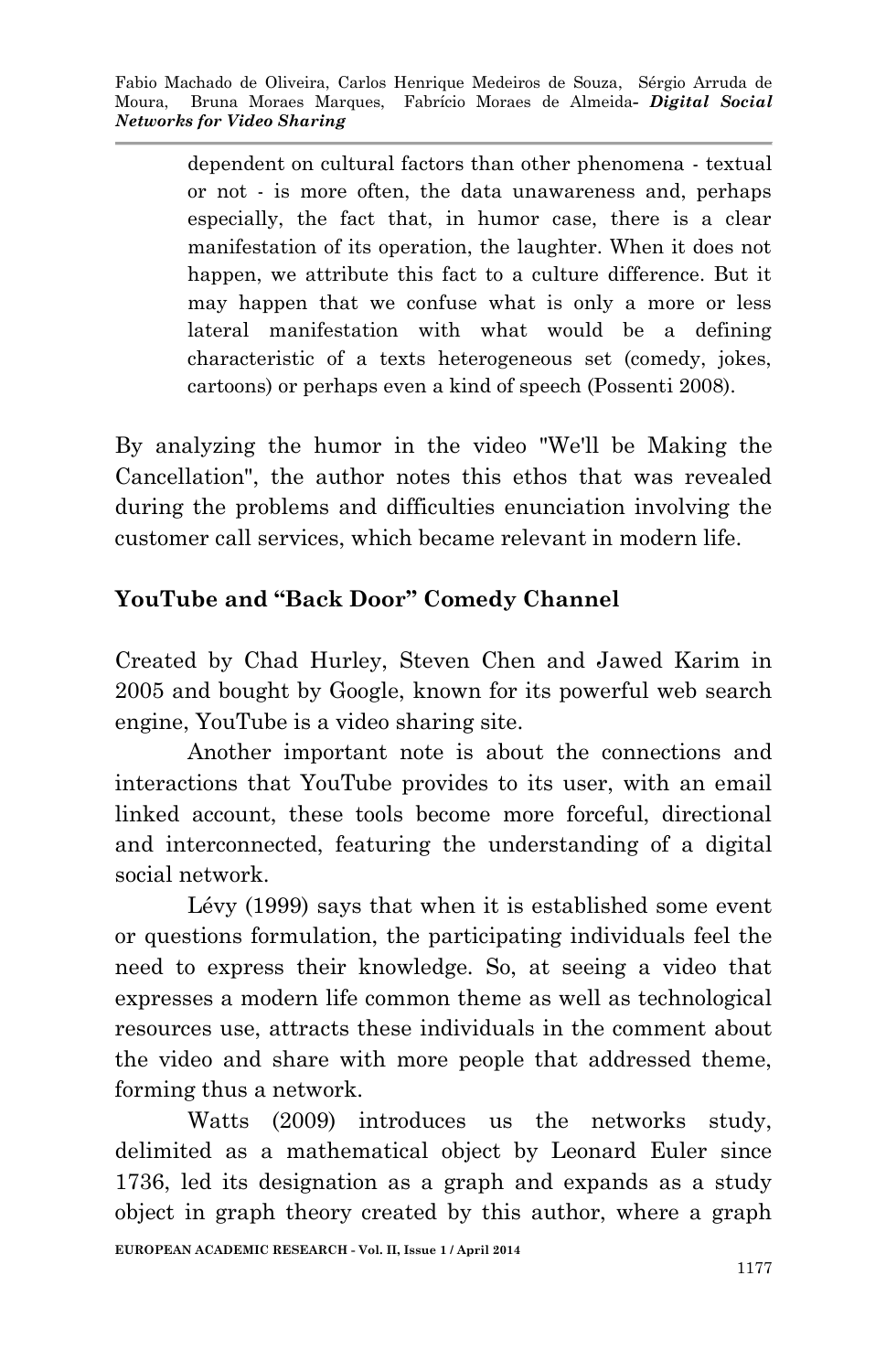dependent on cultural factors than other phenomena - textual or not - is more often, the data unawareness and, perhaps especially, the fact that, in humor case, there is a clear manifestation of its operation, the laughter. When it does not happen, we attribute this fact to a culture difference. But it may happen that we confuse what is only a more or less lateral manifestation with what would be a defining characteristic of a texts heterogeneous set (comedy, jokes, cartoons) or perhaps even a kind of speech (Possenti 2008).

By analyzing the humor in the video "We'll be Making the Cancellation", the author notes this ethos that was revealed during the problems and difficulties enunciation involving the customer call services, which became relevant in modern life.

# **YouTube and "Back Door" Comedy Channel**

Created by Chad Hurley, Steven Chen and Jawed Karim in 2005 and bought by Google, known for its powerful web search engine, YouTube is a video sharing site.

Another important note is about the connections and interactions that YouTube provides to its user, with an email linked account, these tools become more forceful, directional and interconnected, featuring the understanding of a digital social network.

Lévy (1999) says that when it is established some event or questions formulation, the participating individuals feel the need to express their knowledge. So, at seeing a video that expresses a modern life common theme as well as technological resources use, attracts these individuals in the comment about the video and share with more people that addressed theme, forming thus a network.

Watts (2009) introduces us the networks study, delimited as a mathematical object by Leonard Euler since 1736, led its designation as a graph and expands as a study object in graph theory created by this author, where a graph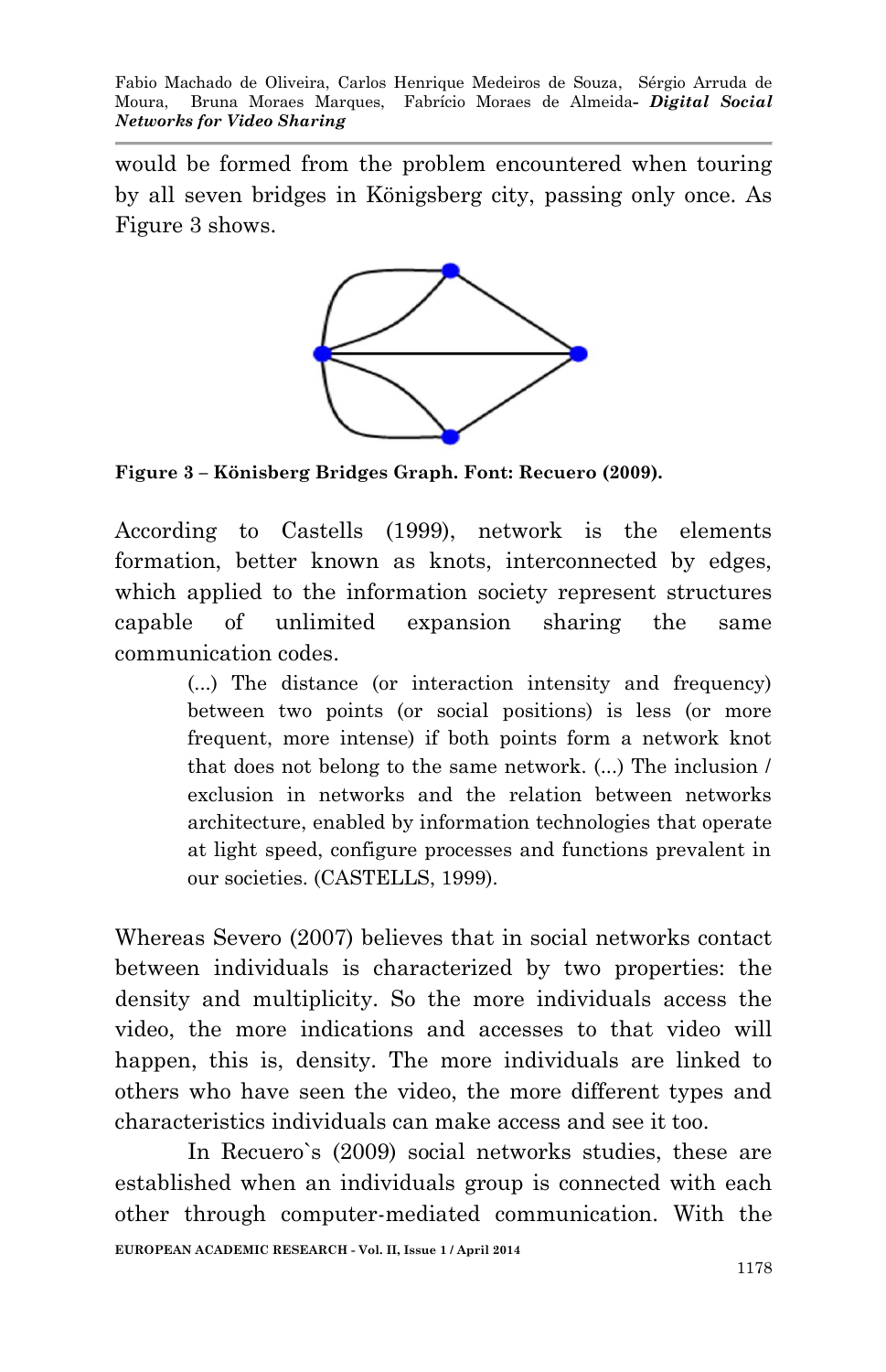would be formed from the problem encountered when touring by all seven bridges in Königsberg city, passing only once. As Figure 3 shows.



**Figure 3 – Könisberg Bridges Graph. Font: Recuero (2009).**

According to Castells (1999), network is the elements formation, better known as knots, interconnected by edges, which applied to the information society represent structures capable of unlimited expansion sharing the same communication codes.

> (...) The distance (or interaction intensity and frequency) between two points (or social positions) is less (or more frequent, more intense) if both points form a network knot that does not belong to the same network. (...) The inclusion / exclusion in networks and the relation between networks architecture, enabled by information technologies that operate at light speed, configure processes and functions prevalent in our societies. (CASTELLS, 1999).

Whereas Severo (2007) believes that in social networks contact between individuals is characterized by two properties: the density and multiplicity. So the more individuals access the video, the more indications and accesses to that video will happen, this is, density. The more individuals are linked to others who have seen the video, the more different types and characteristics individuals can make access and see it too.

In Recuero`s (2009) social networks studies, these are established when an individuals group is connected with each other through computer-mediated communication. With the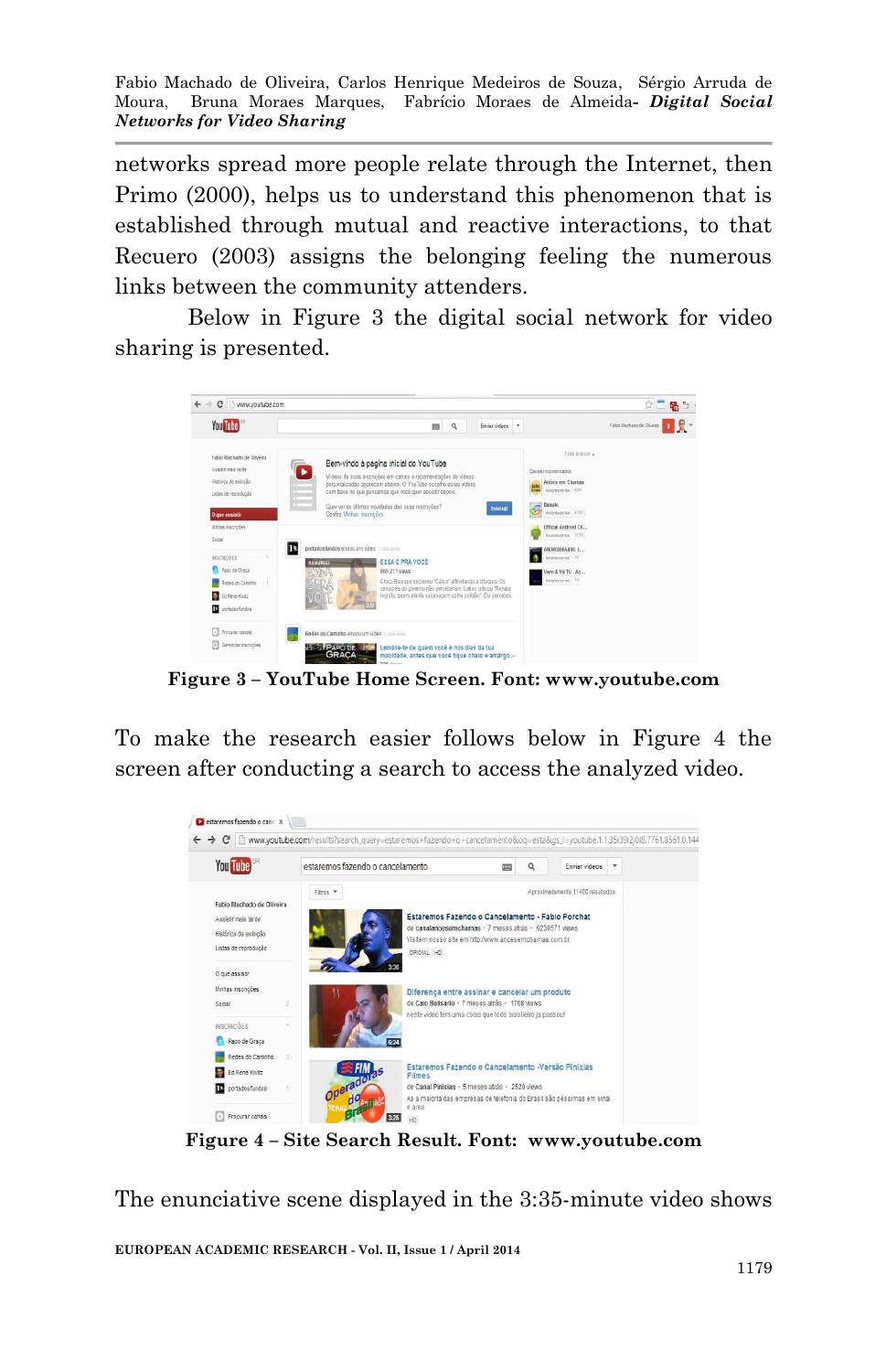networks spread more people relate through the Internet, then Primo (2000), helps us to understand this phenomenon that is established through mutual and reactive interactions, to that Recuero (2003) assigns the belonging feeling the numerous links between the community attenders.

Below in Figure 3 the digital social network for video sharing is presented.



**Figure 3 – YouTube Home Screen. Font: www.youtube.com**

To make the research easier follows below in Figure 4 the screen after conducting a search to access the analyzed video.



**Figure 4 – Site Search Result. Font: www.youtube.com**

The enunciative scene displayed in the 3:35-minute video shows

**EUROPEAN ACADEMIC RESEARCH - Vol. II, Issue 1 / April 2014**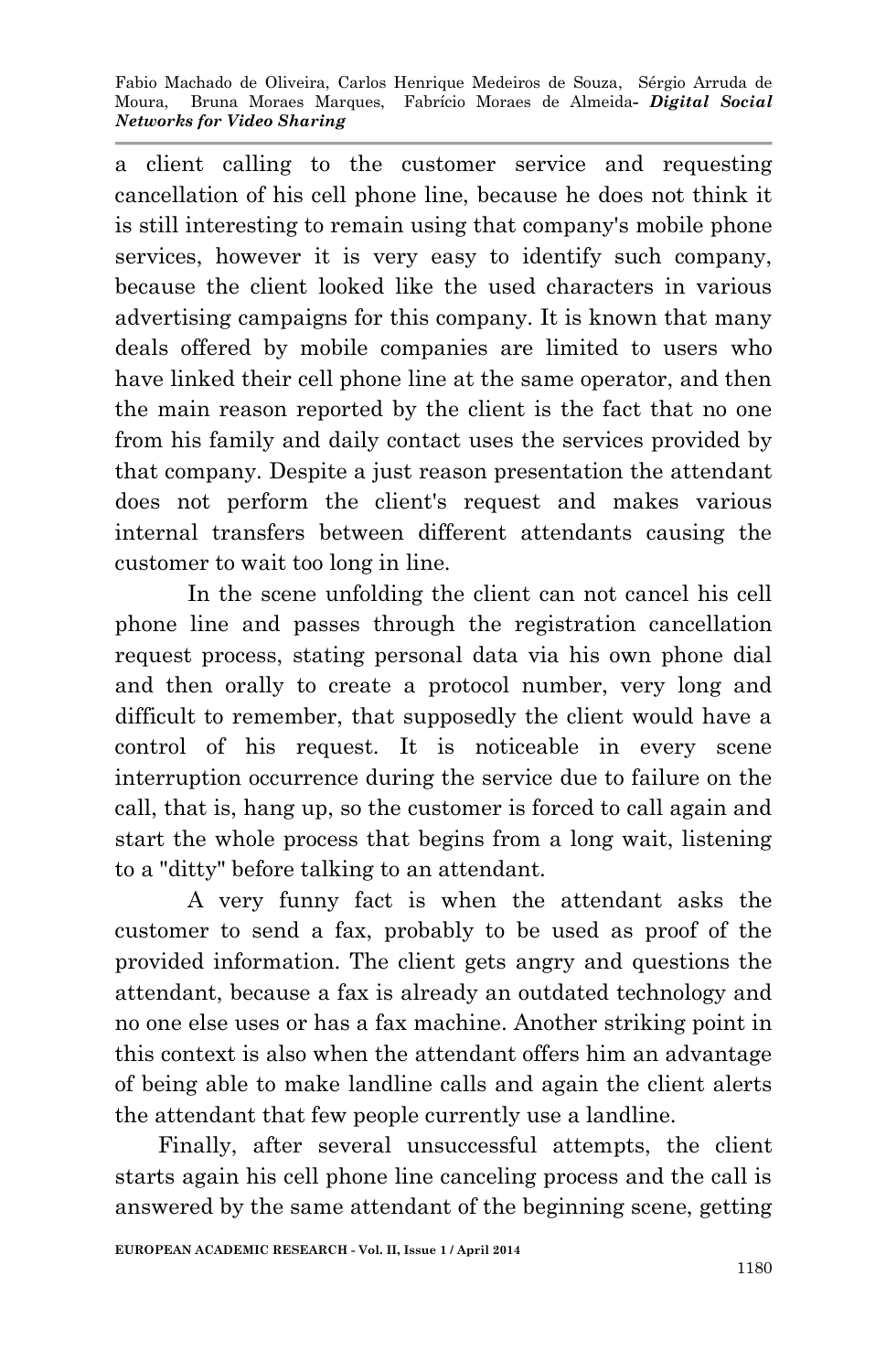a client calling to the customer service and requesting cancellation of his cell phone line, because he does not think it is still interesting to remain using that company's mobile phone services, however it is very easy to identify such company, because the client looked like the used characters in various advertising campaigns for this company. It is known that many deals offered by mobile companies are limited to users who have linked their cell phone line at the same operator, and then the main reason reported by the client is the fact that no one from his family and daily contact uses the services provided by that company. Despite a just reason presentation the attendant does not perform the client's request and makes various internal transfers between different attendants causing the customer to wait too long in line.

In the scene unfolding the client can not cancel his cell phone line and passes through the registration cancellation request process, stating personal data via his own phone dial and then orally to create a protocol number, very long and difficult to remember, that supposedly the client would have a control of his request. It is noticeable in every scene interruption occurrence during the service due to failure on the call, that is, hang up, so the customer is forced to call again and start the whole process that begins from a long wait, listening to a "ditty" before talking to an attendant.

A very funny fact is when the attendant asks the customer to send a fax, probably to be used as proof of the provided information. The client gets angry and questions the attendant, because a fax is already an outdated technology and no one else uses or has a fax machine. Another striking point in this context is also when the attendant offers him an advantage of being able to make landline calls and again the client alerts the attendant that few people currently use a landline.

Finally, after several unsuccessful attempts, the client starts again his cell phone line canceling process and the call is answered by the same attendant of the beginning scene, getting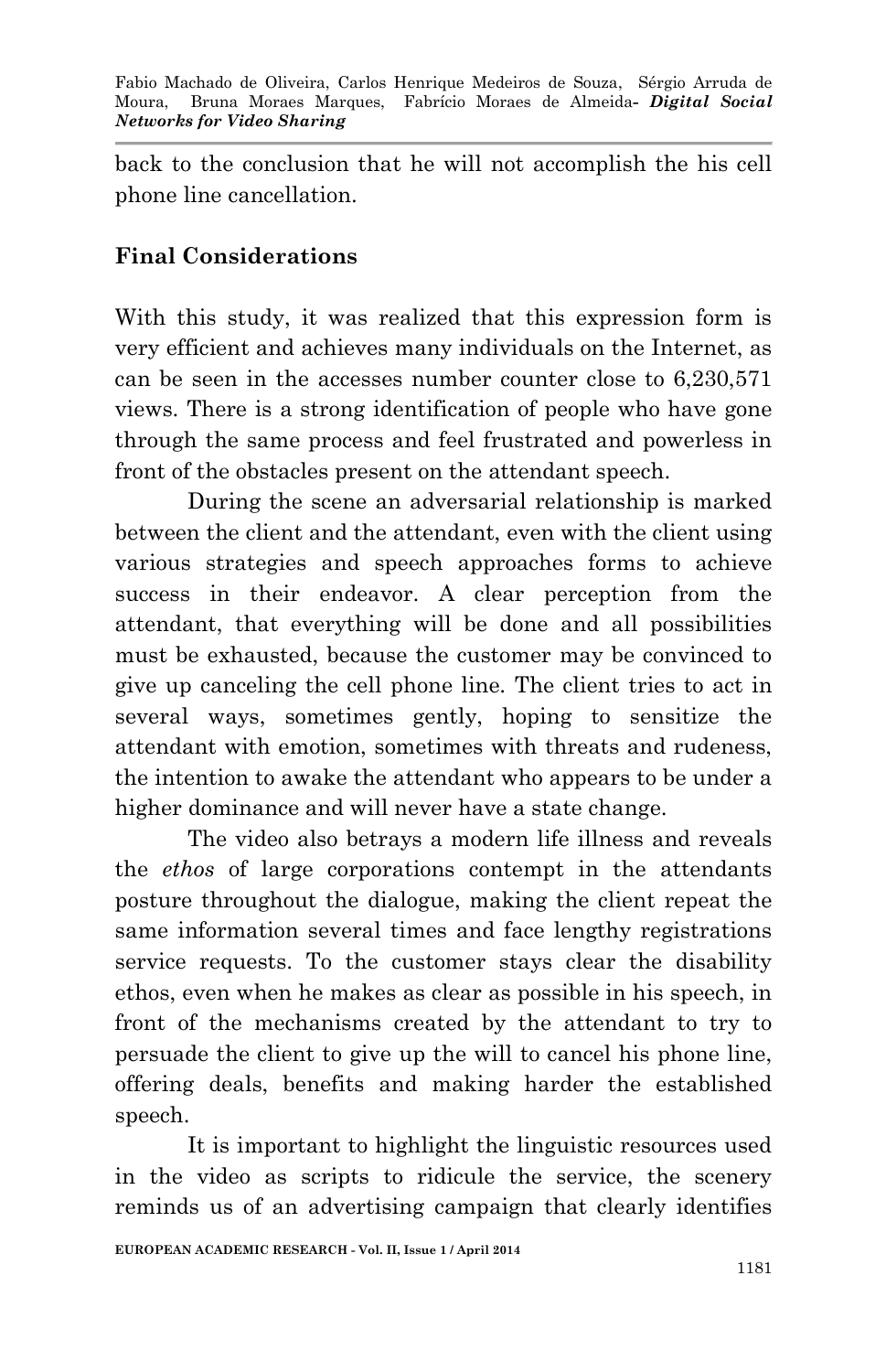back to the conclusion that he will not accomplish the his cell phone line cancellation.

## **Final Considerations**

With this study, it was realized that this expression form is very efficient and achieves many individuals on the Internet, as can be seen in the accesses number counter close to 6,230,571 views. There is a strong identification of people who have gone through the same process and feel frustrated and powerless in front of the obstacles present on the attendant speech.

During the scene an adversarial relationship is marked between the client and the attendant, even with the client using various strategies and speech approaches forms to achieve success in their endeavor. A clear perception from the attendant, that everything will be done and all possibilities must be exhausted, because the customer may be convinced to give up canceling the cell phone line. The client tries to act in several ways, sometimes gently, hoping to sensitize the attendant with emotion, sometimes with threats and rudeness, the intention to awake the attendant who appears to be under a higher dominance and will never have a state change.

The video also betrays a modern life illness and reveals the *ethos* of large corporations contempt in the attendants posture throughout the dialogue, making the client repeat the same information several times and face lengthy registrations service requests. To the customer stays clear the disability ethos, even when he makes as clear as possible in his speech, in front of the mechanisms created by the attendant to try to persuade the client to give up the will to cancel his phone line, offering deals, benefits and making harder the established speech.

It is important to highlight the linguistic resources used in the video as scripts to ridicule the service, the scenery reminds us of an advertising campaign that clearly identifies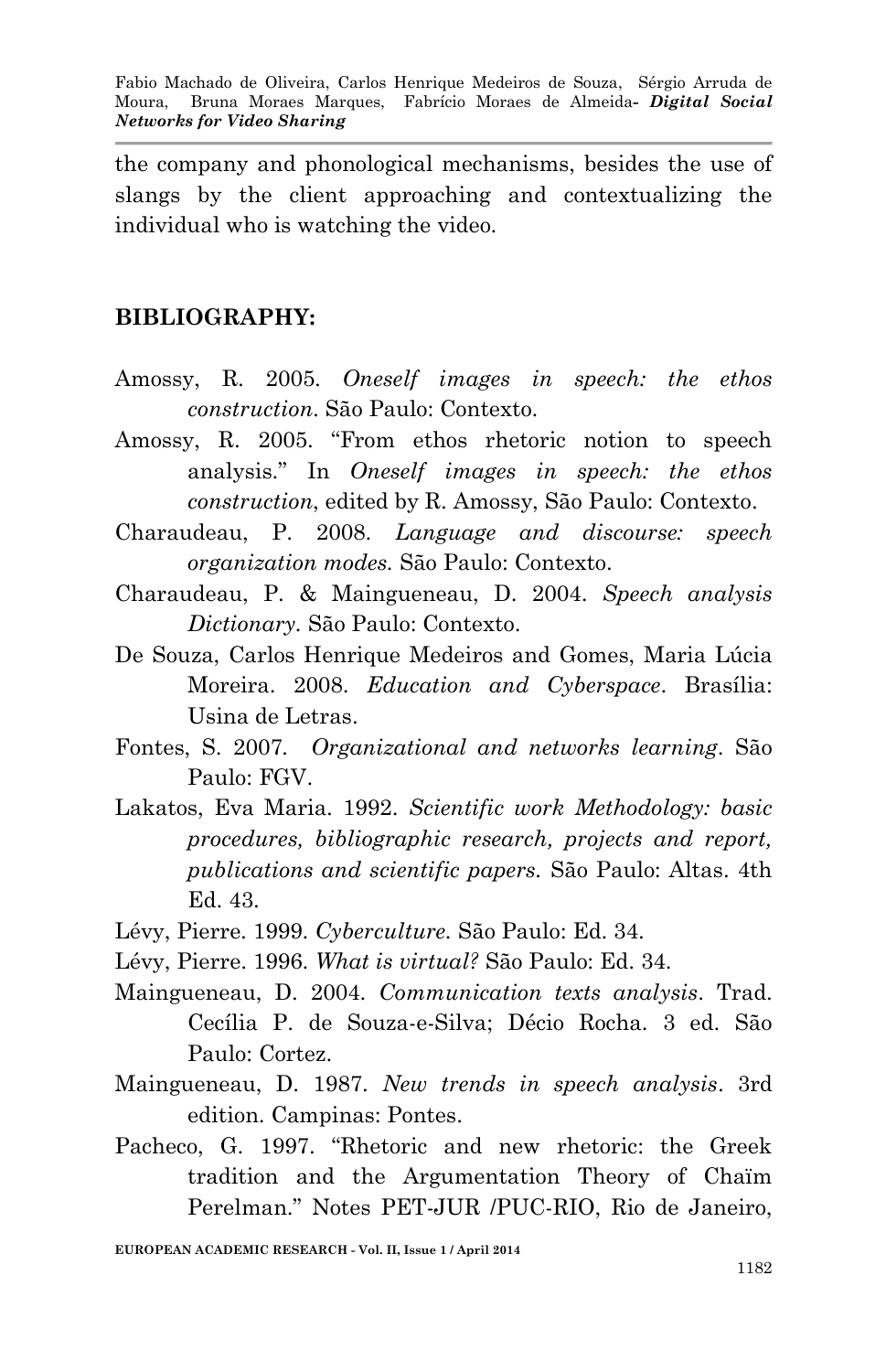the company and phonological mechanisms, besides the use of slangs by the client approaching and contextualizing the individual who is watching the video.

#### **BIBLIOGRAPHY:**

- Amossy, R. 2005. *Oneself images in speech: the ethos construction*. São Paulo: Contexto.
- Amossy, R. 2005. "From ethos rhetoric notion to speech analysis." In *Oneself images in speech: the ethos construction*, edited by R. Amossy, São Paulo: Contexto.
- Charaudeau, P. 2008. *Language and discourse: speech organization modes.* São Paulo: Contexto.
- Charaudeau, P. & Maingueneau, D. 2004. *Speech analysis Dictionary.* São Paulo: Contexto.
- De Souza, Carlos Henrique Medeiros and Gomes, Maria Lúcia Moreira. 2008. *Education and Cyberspace*. Brasília: Usina de Letras.
- Fontes, S. 2007*. Organizational and networks learning*. São Paulo: FGV.
- Lakatos, Eva Maria. 1992. *Scientific work Methodology: basic procedures, bibliographic research, projects and report, publications and scientific papers.* São Paulo: Altas. 4th Ed. 43.
- Lévy, Pierre. 1999. *Cyberculture.* São Paulo: Ed. 34.
- Lévy, Pierre. 1996. *What is virtual?* São Paulo: Ed. 34.
- Maingueneau, D. 2004. *Communication texts analysis*. Trad. Cecília P. de Souza-e-Silva; Décio Rocha. 3 ed. São Paulo: Cortez.
- Maingueneau, D. 1987. *New trends in speech analysis*. 3rd edition. Campinas: Pontes.
- Pacheco, G. 1997. "Rhetoric and new rhetoric: the Greek tradition and the Argumentation Theory of Chaïm Perelman." Notes PET-JUR /PUC-RIO, Rio de Janeiro,